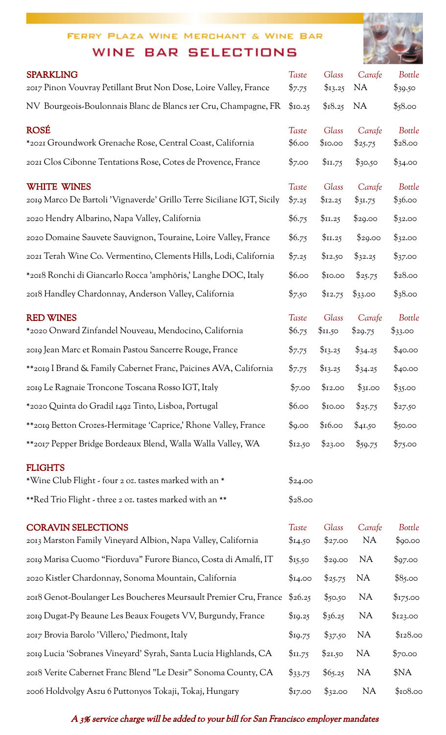#### FERRY PLAZA WINE MERCHANT & WINE BAR

#### WINE BAR SELECTIONS



|                                                                                             |                            |                  |                          | $\sim$            |
|---------------------------------------------------------------------------------------------|----------------------------|------------------|--------------------------|-------------------|
| <b>SPARKLING</b><br>2017 Pinon Vouvray Petillant Brut Non Dose, Loire Valley, France        | Taste<br>$\frac{5}{7.75}$  | Glass<br>\$13.25 | Carafe<br>N <sub>A</sub> | Bottle<br>\$39.50 |
| NV Bourgeois-Boulonnais Blanc de Blancs Ier Cru, Champagne, FR                              | \$10.25                    | \$18.25          | <b>NA</b>                | \$58.00           |
| <b>ROSÉ</b><br>*2021 Groundwork Grenache Rose, Central Coast, California                    | Taste<br>\$6.00            | Glass<br>\$10.00 | Carafe<br>\$25.75        | Bottle<br>\$28.00 |
| 2021 Clos Cibonne Tentations Rose, Cotes de Provence, France                                | \$7.00                     | \$11.75          | \$30.50                  | \$34.00           |
| <b>WHITE WINES</b><br>2019 Marco De Bartoli 'Vignaverde' Grillo Terre Siciliane IGT, Sicily | Taste<br>$\frac{5}{2}$ .25 | Glass<br>\$12.25 | Carafe<br>\$31.75        | Bottle<br>\$36.00 |
| 2020 Hendry Albarino, Napa Valley, California                                               | \$6.75                     | \$11.25          | \$29.00                  | \$32.00           |
| 2020 Domaine Sauvete Sauvignon, Touraine, Loire Valley, France                              | \$6.75                     | \$11.25          | \$29.00                  | \$32.00           |
| 2021 Terah Wine Co. Vermentino, Clements Hills, Lodi, California                            | $\frac{5}{2}$ .25          | \$12.50          | \$32.25                  | \$37.00           |
| *2018 Ronchi di Giancarlo Rocca 'amphŏris,' Langhe DOC, Italy                               | \$6.00                     | \$10.00          | \$25.75                  | \$28.00           |
| 2018 Handley Chardonnay, Anderson Valley, California                                        | \$7.50                     | \$12.75          | \$33.00                  | \$38.00           |
| <b>RED WINES</b><br>*2020 Onward Zinfandel Nouveau, Mendocino, California                   | Taste<br>\$6.75            | Glass<br>\$II.50 | Carafe<br>\$29.75        | Bottle<br>\$33.00 |
| 2019 Jean Marc et Romain Pastou Sancerre Rouge, France                                      | \$7.75                     | \$13.25          | \$34.25                  | \$40.00           |
| **2019 I Brand & Family Cabernet Franc, Paicines AVA, California                            | \$7.75                     | \$13.25          | \$34.25                  | \$40.00           |
| 2019 Le Ragnaie Troncone Toscana Rosso IGT, Italy                                           | \$7.00                     | \$12.00          | \$3I.00                  | \$35.00           |
| *2020 Quinta do Gradil 1492 Tinto, Lisboa, Portugal                                         | \$6.00                     | \$10.00          | \$25.75                  | \$27.50           |
| **2019 Betton Crozes-Hermitage 'Caprice,' Rhone Valley, France                              | \$9.00                     | \$16.00          | \$4I.50                  | \$50.00           |
| **2017 Pepper Bridge Bordeaux Blend, Walla Walla Valley, WA                                 | \$12.50                    | \$23.00          | \$59.75                  | \$75.00           |
| <b>FLIGHTS</b><br>*Wine Club Flight - four 2 oz. tastes marked with an *                    | \$24.00                    |                  |                          |                   |
| **Red Trio Flight - three 2 oz. tastes marked with an **                                    | \$28.00                    |                  |                          |                   |
| <b>CORAVIN SELECTIONS</b><br>2013 Marston Family Vineyard Albion, Napa Valley, California   | Taste<br>\$14.50           | Glass<br>\$27.00 | Carafe<br><b>NA</b>      | Bottle<br>\$90.00 |
| 2019 Marisa Cuomo "Fiorduva" Furore Bianco, Costa di Amalfi, IT                             | \$15.50                    | \$29.00          | <b>NA</b>                | \$97.00           |
| 2020 Kistler Chardonnay, Sonoma Mountain, California                                        | \$14.00                    | \$25.75          | NA                       | \$85.00           |
| 2018 Genot-Boulanger Les Boucheres Meursault Premier Cru, France                            | \$26.25                    | \$50.50          | <b>NA</b>                | \$175.00          |
| 2019 Dugat-Py Beaune Les Beaux Fougets VV, Burgundy, France                                 | \$19.25                    | $\$36.25$        | <b>NA</b>                | \$123.00          |
| 2017 Brovia Barolo 'Villero,' Piedmont, Italy                                               | \$19.75                    | \$37.50          | <b>NA</b>                | \$128.00          |
| 2019 Lucia 'Sobranes Vineyard' Syrah, Santa Lucia Highlands, CA                             | \$II.75                    | \$21,50          | <b>NA</b>                | \$70.00           |
| 2018 Verite Cabernet Franc Blend "Le Desir" Sonoma County, CA                               | \$33.75                    | \$65.25          | <b>NA</b>                | \$NA              |
| 2006 Holdvolgy Aszu 6 Puttonyos Tokaji, Tokaj, Hungary                                      | \$17.00                    | \$32.00          | <b>NA</b>                | \$108.00          |

#### A 3% service charge will be added to your bill for San Francisco employer mandates